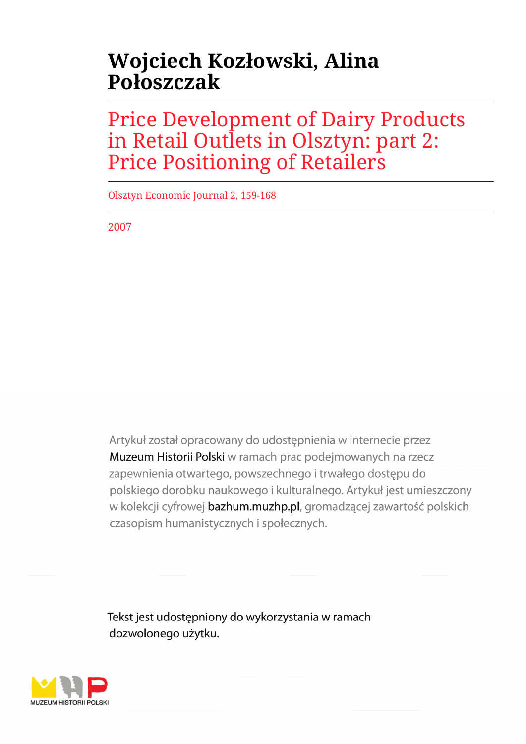# **Wojciech Kozłowski, Alina Połoszczak**

Price Development of Dairy Products in Retail Outlets in Olsztyn: part 2: Price Positioning of Retailers

Olsztyn Economic Journal 2, 159-168

2007

Artykuł został opracowany do udostępnienia w internecie przez Muzeum Historii Polski w ramach prac podejmowanych na rzecz zapewnienia otwartego, powszechnego i trwałego dostępu do polskiego dorobku naukowego i kulturalnego. Artykuł jest umieszczony w kolekcji cyfrowej bazhum.muzhp.pl, gromadzącej zawartość polskich czasopism humanistycznych i społecznych.

Tekst jest udostępniony do wykorzystania w ramach dozwolonego użytku.

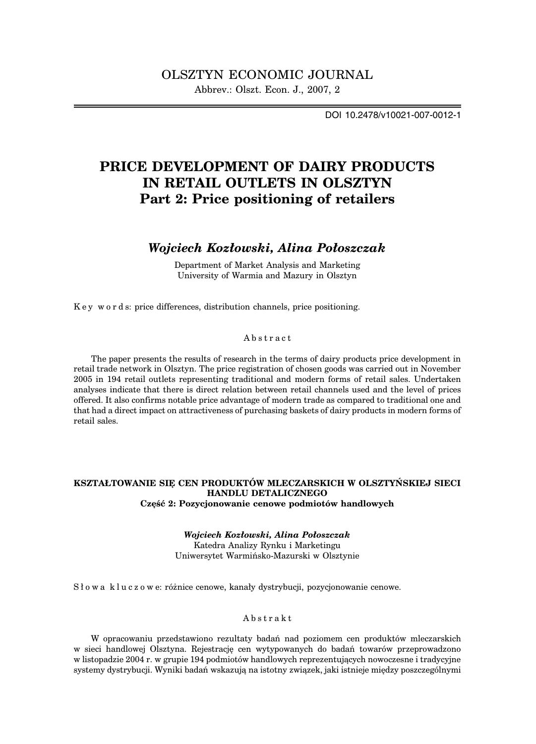DOI 10.2478/v10021-007-0012-1

# **PRICE DEVELOPMENT OF DAIRY PRODUCTS IN RETAIL OUTLETS IN OLSZTYN Part 2: Price positioning of retailers**

## *Wojciech Kozłowski, Alina Połoszczak*

Department of Market Analysis and Marketing University of Warmia and Mazury in Olsztyn

K e y w o r d s: price differences, distribution channels, price positioning.

## Abstract

The paper presents the results of research in the terms of dairy products price development in retail trade network in Olsztyn. The price registration of chosen goods was carried out in November 2005 in 194 retail outlets representing traditional and modern forms of retail sales. Undertaken analyses indicate that there is direct relation between retail channels used and the level of prices offered. It also confirms notable price advantage of modern trade as compared to traditional one and that had a direct impact on attractiveness of purchasing baskets of dairy products in modern forms of retail sales.

## **KSZTAŁTOWANIE SIĘ CEN PRODUKTÓW MLECZARSKICH W OLSZTYŃSKIEJ SIECI HANDLU DETALICZNEGO Część 2: Pozycjonowanie cenowe podmiotów handlowych**

*Wojciech Kozłowski, Alina Połoszczak* Katedra Analizy Rynku i Marketingu Uniwersytet Warmińsko-Mazurski w Olsztynie

S ł o w a k l u c z o w e: różnice cenowe, kanały dystrybucji, pozycjonowanie cenowe.

## Abstrakt

W opracowaniu przedstawiono rezultaty badań nad poziomem cen produktów mleczarskich w sieci handlowej Olsztyna. Rejestrację cen wytypowanych do badań towarów przeprowadzono w listopadzie 2004 r. w grupie 194 podmiotów handlowych reprezentujących nowoczesne i tradycyjne systemy dystrybucji. Wyniki badań wskazują na istotny związek, jaki istnieje między poszczególnymi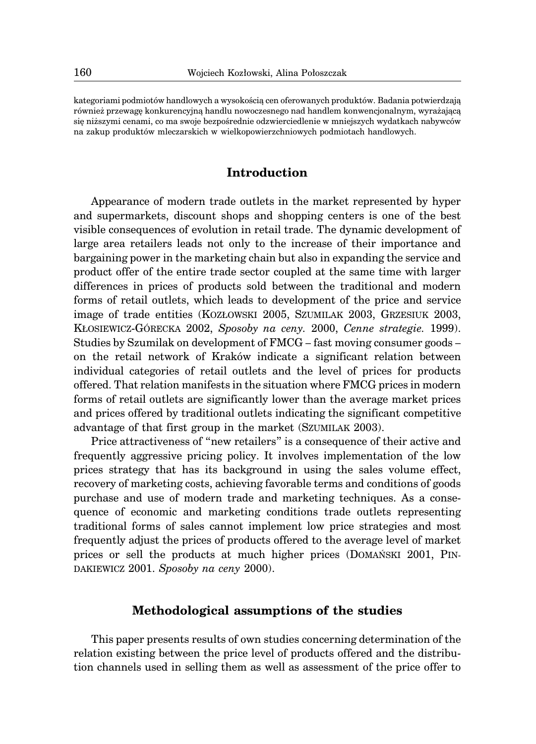kategoriami podmiotów handlowych a wysokością cen oferowanych produktów. Badania potwierdzają również przewagę konkurencyjną handlu nowoczesnego nad handlem konwencjonalnym, wyrażającą się niższymi cenami, co ma swoje bezpośrednie odzwierciedlenie w mniejszych wydatkach nabywców na zakup produktów mleczarskich w wielkopowierzchniowych podmiotach handlowych.

# **Introduction**

Appearance of modern trade outlets in the market represented by hyper and supermarkets, discount shops and shopping centers is one of the best visible consequences of evolution in retail trade. The dynamic development of large area retailers leads not only to the increase of their importance and bargaining power in the marketing chain but also in expanding the service and product offer of the entire trade sector coupled at the same time with larger differences in prices of products sold between the traditional and modern forms of retail outlets, which leads to development of the price and service image of trade entities (KOZŁOWSKI 2005, SZUMILAK 2003, GRZESIUK 2003, KŁOSIEWICZ-GÓRECKA 2002, *Sposoby na ceny.* 2000, *Cenne strategie.* 1999). Studies by Szumilak on development of FMCG – fast moving consumer goods – on the retail network of Kraków indicate a significant relation between individual categories of retail outlets and the level of prices for products offered. That relation manifests in the situation where FMCG prices in modern forms of retail outlets are significantly lower than the average market prices and prices offered by traditional outlets indicating the significant competitive advantage of that first group in the market (SZUMILAK 2003).

Price attractiveness of "new retailers" is a consequence of their active and frequently aggressive pricing policy. It involves implementation of the low prices strategy that has its background in using the sales volume effect, recovery of marketing costs, achieving favorable terms and conditions of goods purchase and use of modern trade and marketing techniques. As a consequence of economic and marketing conditions trade outlets representing traditional forms of sales cannot implement low price strategies and most frequently adjust the prices of products offered to the average level of market prices or sell the products at much higher prices (DOMAŃSKI 2001, PIN-DAKIEWICZ 2001. *Sposoby na ceny* 2000).

## **Methodological assumptions of the studies**

This paper presents results of own studies concerning determination of the relation existing between the price level of products offered and the distribution channels used in selling them as well as assessment of the price offer to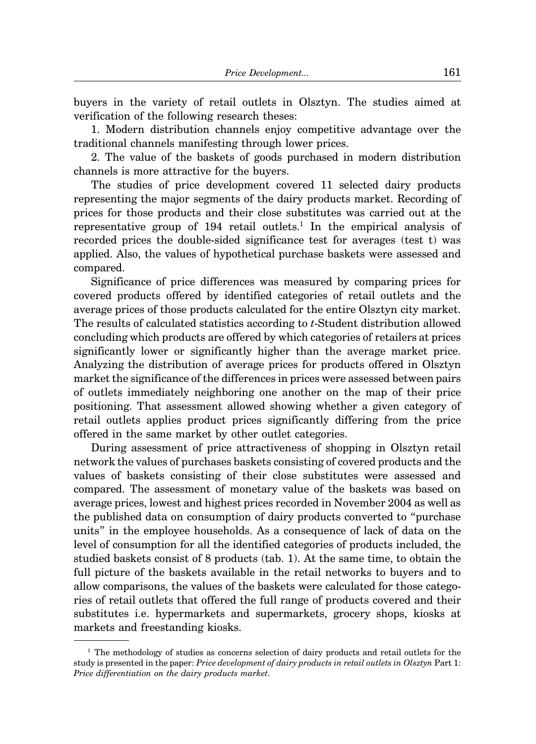buyers in the variety of retail outlets in Olsztyn. The studies aimed at verification of the following research theses:

1. Modern distribution channels enjoy competitive advantage over the traditional channels manifesting through lower prices.

2. The value of the baskets of goods purchased in modern distribution channels is more attractive for the buyers.

The studies of price development covered 11 selected dairy products representing the major segments of the dairy products market. Recording of prices for those products and their close substitutes was carried out at the representative group of  $194$  retail outlets.<sup>1</sup> In the empirical analysis of recorded prices the double-sided significance test for averages (test t) was applied. Also, the values of hypothetical purchase baskets were assessed and compared.

Significance of price differences was measured by comparing prices for covered products offered by identified categories of retail outlets and the average prices of those products calculated for the entire Olsztyn city market. The results of calculated statistics according to *t*-Student distribution allowed concluding which products are offered by which categories of retailers at prices significantly lower or significantly higher than the average market price. Analyzing the distribution of average prices for products offered in Olsztyn market the significance of the differences in prices were assessed between pairs of outlets immediately neighboring one another on the map of their price positioning. That assessment allowed showing whether a given category of retail outlets applies product prices significantly differing from the price offered in the same market by other outlet categories.

During assessment of price attractiveness of shopping in Olsztyn retail network the values of purchases baskets consisting of covered products and the values of baskets consisting of their close substitutes were assessed and compared. The assessment of monetary value of the baskets was based on average prices, lowest and highest prices recorded in November 2004 as well as the published data on consumption of dairy products converted to "purchase units" in the employee households. As a consequence of lack of data on the level of consumption for all the identified categories of products included, the studied baskets consist of 8 products (tab. 1). At the same time, to obtain the full picture of the baskets available in the retail networks to buyers and to allow comparisons, the values of the baskets were calculated for those categories of retail outlets that offered the full range of products covered and their substitutes i.e. hypermarkets and supermarkets, grocery shops, kiosks at markets and freestanding kiosks.

 $1$  The methodology of studies as concerns selection of dairy products and retail outlets for the study is presented in the paper: *Price development of dairy products in retail outlets in Olsztyn* Part 1: *Price differentiation on the dairy products market*.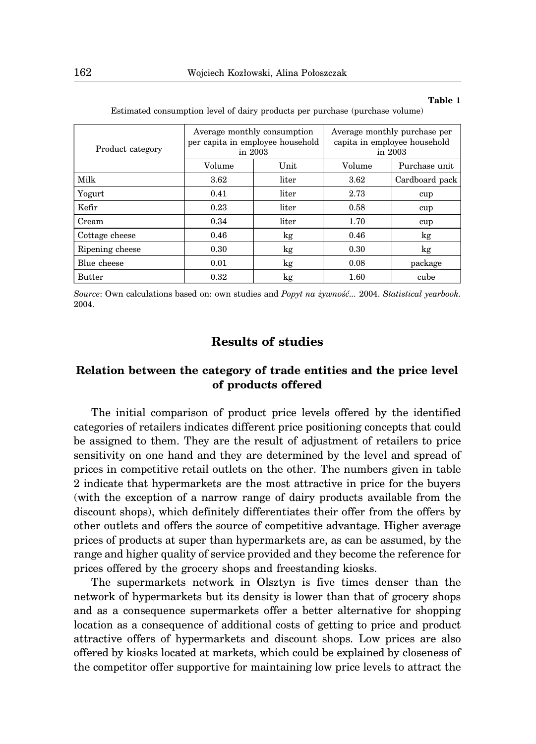#### **Table 1**

| Product category | in $2003$ | Average monthly consumption<br>per capita in employee household | Average monthly purchase per<br>capita in employee household<br>in $2003$ |                |  |  |
|------------------|-----------|-----------------------------------------------------------------|---------------------------------------------------------------------------|----------------|--|--|
|                  | Volume    | Unit                                                            | Volume                                                                    | Purchase unit  |  |  |
| Milk             | 3.62      | liter                                                           | 3.62                                                                      | Cardboard pack |  |  |
| Yogurt           | 0.41      | liter                                                           | 2.73                                                                      | cup            |  |  |
| Kefir            | 0.23      | liter                                                           | 0.58                                                                      | cup            |  |  |
| Cream            | 0.34      | liter                                                           | 1.70                                                                      | cup            |  |  |
| Cottage cheese   | 0.46      | kg                                                              | 0.46                                                                      | kg             |  |  |
| Ripening cheese  | 0.30      | kg                                                              | 0.30                                                                      | kg             |  |  |
| Blue cheese      | 0.01      | kg                                                              | 0.08                                                                      | package        |  |  |
| <b>Butter</b>    | 0.32      | kg                                                              | 1.60                                                                      | cube           |  |  |

Estimated consumption level of dairy products per purchase (purchase volume)

*Source*: Own calculations based on: own studies and *Popyt na żywność...* 2004. *Statistical yearbook.* 2004.

# **Results of studies**

# **Relation between the category of trade entities and the price level of products offered**

The initial comparison of product price levels offered by the identified categories of retailers indicates different price positioning concepts that could be assigned to them. They are the result of adjustment of retailers to price sensitivity on one hand and they are determined by the level and spread of prices in competitive retail outlets on the other. The numbers given in table 2 indicate that hypermarkets are the most attractive in price for the buyers (with the exception of a narrow range of dairy products available from the discount shops), which definitely differentiates their offer from the offers by other outlets and offers the source of competitive advantage. Higher average prices of products at super than hypermarkets are, as can be assumed, by the range and higher quality of service provided and they become the reference for prices offered by the grocery shops and freestanding kiosks.

The supermarkets network in Olsztyn is five times denser than the network of hypermarkets but its density is lower than that of grocery shops and as a consequence supermarkets offer a better alternative for shopping location as a consequence of additional costs of getting to price and product attractive offers of hypermarkets and discount shops. Low prices are also offered by kiosks located at markets, which could be explained by closeness of the competitor offer supportive for maintaining low price levels to attract the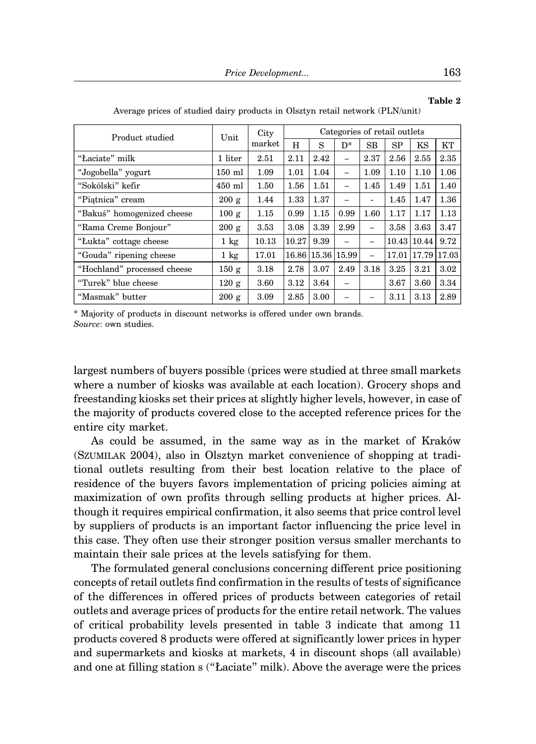| Product studied             | Unit           | City                    | Categories of retail outlets |             |       |                          |             |      |             |  |  |
|-----------------------------|----------------|-------------------------|------------------------------|-------------|-------|--------------------------|-------------|------|-------------|--|--|
|                             |                | $\operatorname{market}$ | H                            | S           | $D^*$ | <b>SB</b>                | SP          | KS   | KT          |  |  |
| "Łaciate" milk              | 1 liter        | 2.51                    | 2.11                         | 2.42        | -     | 2.37                     | 2.56        | 2.55 | 2.35        |  |  |
| "Jogobella" yogurt          | $150$ ml       | 1.09                    | 1.01                         | 1.04        | -     | 1.09                     | 1.10        | 1.10 | 1.06        |  |  |
| "Sokólski" kefir            | $450$ ml       | 1.50                    | 1.56                         | 1.51        | -     | 1.45                     | 1.49        | 1.51 | 1.40        |  |  |
| "Piatnica" cream            | 200 g          | 1.44                    | 1.33                         | 1.37        |       | ۰                        | 1.45        | 1.47 | 1.36        |  |  |
| "Bakuś" homogenized cheese  | 100 g          | 1.15                    | 0.99                         | 1.15        | 0.99  | 1.60                     | 1.17        | 1.17 | 1.13        |  |  |
| "Rama Creme Bonjour"        | 200 g          | 3.53                    | 3.08                         | 3.39        | 2.99  | -                        | 3.58        | 3.63 | 3.47        |  |  |
| "Lukta" cottage cheese      | $1 \text{ kg}$ | 10.13                   | 10.27                        | 9.39        |       | -                        | 10.43 10.44 |      | 9.72        |  |  |
| "Gouda" ripening cheese     | $1 \text{ kg}$ | 17.01                   |                              | 16.86 15.36 | 15.99 | $\overline{\phantom{0}}$ | 17.01       |      | 17.79 17.03 |  |  |
| "Hochland" processed cheese | 150g           | 3.18                    | 2.78                         | 3.07        | 2.49  | 3.18                     | 3.25        | 3.21 | 3.02        |  |  |
| "Turek" blue cheese         | 120 g          | 3.60                    | 3.12                         | 3.64        | -     |                          | 3.67        | 3.60 | 3.34        |  |  |
| "Masmak" butter             | 200 g          | 3.09                    | 2.85                         | 3.00        |       |                          | 3.11        | 3.13 | 2.89        |  |  |

Average prices of studied dairy products in Olsztyn retail network (PLN/unit)

\* Majority of products in discount networks is offered under own brands. *Source*: own studies.

largest numbers of buyers possible (prices were studied at three small markets where a number of kiosks was available at each location). Grocery shops and freestanding kiosks set their prices at slightly higher levels, however, in case of the majority of products covered close to the accepted reference prices for the entire city market.

As could be assumed, in the same way as in the market of Kraków (SZUMILAK 2004), also in Olsztyn market convenience of shopping at traditional outlets resulting from their best location relative to the place of residence of the buyers favors implementation of pricing policies aiming at maximization of own profits through selling products at higher prices. Although it requires empirical confirmation, it also seems that price control level by suppliers of products is an important factor influencing the price level in this case. They often use their stronger position versus smaller merchants to maintain their sale prices at the levels satisfying for them.

The formulated general conclusions concerning different price positioning concepts of retail outlets find confirmation in the results of tests of significance of the differences in offered prices of products between categories of retail outlets and average prices of products for the entire retail network. The values of critical probability levels presented in table 3 indicate that among 11 products covered 8 products were offered at significantly lower prices in hyper and supermarkets and kiosks at markets, 4 in discount shops (all available) and one at filling station s ("Łaciate" milk). Above the average were the prices

**Table 2**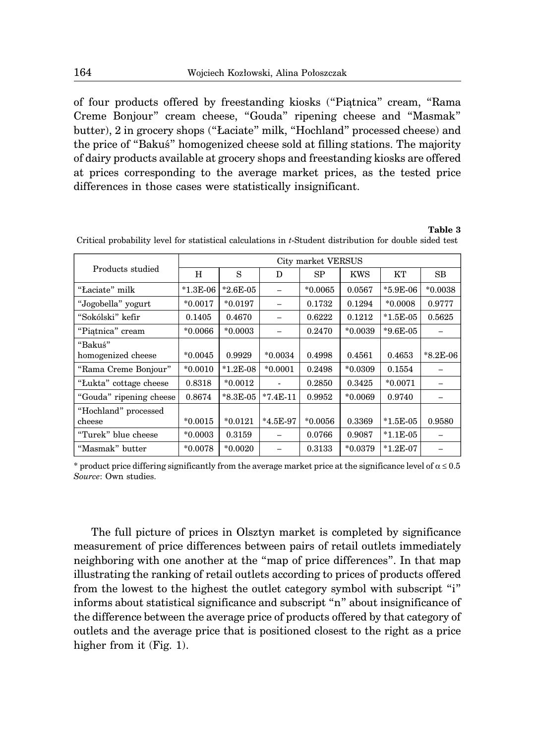of four products offered by freestanding kiosks ("Piątnica" cream, "Rama Creme Bonjour" cream cheese, "Gouda" ripening cheese and "Masmak" butter), 2 in grocery shops ("Łaciate" milk, "Hochland" processed cheese) and the price of "Bakuś" homogenized cheese sold at filling stations. The majority of dairy products available at grocery shops and freestanding kiosks are offered at prices corresponding to the average market prices, as the tested price differences in those cases were statistically insignificant.

### **Table 3**

|                                | City market VERSUS |            |            |           |            |                             |            |  |  |  |
|--------------------------------|--------------------|------------|------------|-----------|------------|-----------------------------|------------|--|--|--|
| Products studied               | H                  | S          | D          | SP        | <b>KWS</b> | KT                          | <b>SB</b>  |  |  |  |
| "Łaciate" milk                 | $*1.3E-06$         | $*2.6E-05$ |            | $*0.0065$ | 0.0567     | $*5.9E-06$                  | $*0.0038$  |  |  |  |
| "Jogobella" yogurt             | $*0.0017$          | $*0.0197$  |            | 0.1732    | 0.1294     | $*0.0008$                   | 0.9777     |  |  |  |
| "Sokólski" kefir               | 0.1405             | 0.4670     |            | 0.6222    | 0.1212     | $*1.5E-05$                  | 0.5625     |  |  |  |
| "Piatnica" cream               | $*0.0066$          | $*0.0003$  |            | 0.2470    | $*0.0039$  | $*9.6E-05$                  |            |  |  |  |
| "Bakuś"<br>homogenized cheese  | $*0.0045$          | 0.9929     | $*0.0034$  | 0.4998    | 0.4561     | 0.4653                      | $*8.2E-06$ |  |  |  |
| "Rama Creme Bonjour"           | $*0.0010$          | $*1.2E-08$ | $*0.0001$  | 0.2498    | $*0.0309$  | 0.1554                      |            |  |  |  |
| "Lukta" cottage cheese         | 0.8318             | $*0.0012$  |            | 0.2850    | 0.3425     | $*0.0071$                   |            |  |  |  |
| "Gouda" ripening cheese        | 0.8674             | $*8.3E-05$ | $*7.4E-11$ | 0.9952    | $*0.0069$  | 0.9740                      |            |  |  |  |
| "Hochland" processed<br>cheese | $*0.0015$          | $*0.0121$  | $*4.5E-97$ | $*0.0056$ | 0.3369     | $*1.5E-05$                  | 0.9580     |  |  |  |
| "Turek" blue cheese            | $*0.0003$          | 0.3159     |            | 0.0766    | 0.9087     | $*1.1E-05$                  |            |  |  |  |
| "Masmak" butter                | $*0.0078$          | $*0.0020$  |            | 0.3133    | $*0.0379$  | $^*1.2\mathrm{E}\text{-}07$ |            |  |  |  |

Critical probability level for statistical calculations in *t*-Student distribution for double sided test

\* product price differing significantly from the average market price at the significance level of  $\alpha \le 0.5$ *Source*: Own studies.

The full picture of prices in Olsztyn market is completed by significance measurement of price differences between pairs of retail outlets immediately neighboring with one another at the "map of price differences". In that map illustrating the ranking of retail outlets according to prices of products offered from the lowest to the highest the outlet category symbol with subscript "i" informs about statistical significance and subscript "n" about insignificance of the difference between the average price of products offered by that category of outlets and the average price that is positioned closest to the right as a price higher from it (Fig. 1).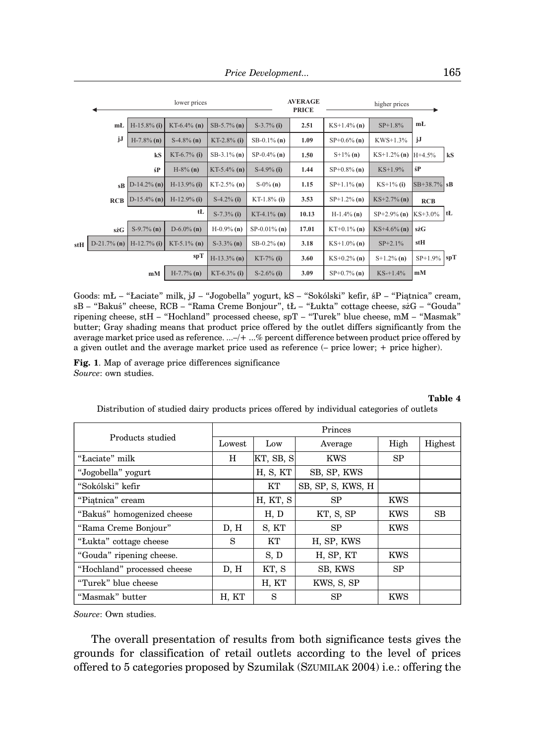|     | lower prices   |                |                |                |                 | <b>AVERAGE</b><br><b>PRICE</b> | higher prices  |                |               |     |
|-----|----------------|----------------|----------------|----------------|-----------------|--------------------------------|----------------|----------------|---------------|-----|
|     | mŁ             | $H-15.8\%$ (i) | $KT-6.4%$ (n)  | $SB-5.7\%$ (n) | $S-3.7\%$ (i)   | 2.51                           | $KS+1.4\%$ (n) | $SP+1.8%$      | mŁ            |     |
|     | jJ             | $H-7.8\%$ (n)  | $S-4.8\%$ (n)  | $KT-2.8\%$ (i) | $SB-0.1\%$ (n)  | 1.09                           | $SP+0.6\%$ (n) | $KWS+1.3%$     | jJ            |     |
|     |                | kS             | $KT-6.7%$ (i)  | $SB-3.1\%$ (n) | $SP-0.4\%$ (n)  | 1.50                           | $S+1\%$ (n)    | $KS+1.2\%$ (n) | $H+4.5%$      | kS  |
|     |                | śP             | $H-8\%$ (n)    | KT-5.4% (n)    | $S-4.9\%$ (i)   | 1.44                           | $SP+0.8\%$ (n) | $KS+1.9%$      | śP            |     |
|     | $s\mathbf{B}$  | $D-14.2\%$ (n) | $H-13.9\%$ (i) | $KT-2.5\%$ (n) | $S-0\%$ (n)     | 1.15                           | $SP+1.1\%$ (n) | $KS+1\%$ (i)   | $SB+38.7%$ sB |     |
|     | <b>RCB</b>     | $D-15.4\%$ (n) | $H-12.9%$ (i)  | $S-4.2\%$ (i)  | $KT-1.8%$ (i)   | 3.53                           | $SP+1.2\%$ (n) | $KS+2.7\%$ (n) | <b>RCB</b>    |     |
|     |                |                | tŁ             | $S-7.3\%$ (i)  | $KT-4.1\%$ (n)  | 10.13                          | $H-1.4\%$ (n)  | $SP+2.9\%$ (n) | $KS+3.0%$     | tŁ  |
|     | sżG            | $S-9.7%$ (n)   | $D-6.0\%$ (n)  | $H-0.9%$ (n)   | $SP-0.01\%$ (n) | 17.01                          | $KT+0.1\%$ (n) | $KS+4.6\%$ (n) | sżG           |     |
| stH | $D-21.7\%$ (n) | $H-12.7\%$ (i) | $KT-5.1\%$ (n) | $S-3.3\%$ (n)  | $SB-0.2\%$ (n)  | 3.18                           | $KS+1.0\%$ (n) | $SP+2.1%$      | stH           |     |
|     |                |                | spT            | $H-13.3\%$ (n) | $KT-7%$ (i)     | 3.60                           | $KS+0.2\%$ (n) | $S+1.2\%$ (n)  | $SP+1.9%$     | spT |
|     |                | mM             | $H-7.7\%$ (n)  | KT-6.3% (i)    | $S-2.6\%$ (i)   | 3.09                           | $SP+0.7\%$ (n) | $KS-+1.4%$     | mM            |     |

Goods: mŁ – "Łaciate" milk, jJ – "Jogobella" yogurt, kS – "Sokólski" kefir, śP – "Piątnica" cream, sB – "Bakuś" cheese, RCB – "Rama Creme Bonjour", tŁ – "Łukta" cottage cheese, sżG – "Gouda" ripening cheese, stH – "Hochland" processed cheese, spT – "Turek" blue cheese, mM – "Masmak" butter; Gray shading means that product price offered by the outlet differs significantly from the average market price used as reference. ...–/+ ...% percent difference between product price offered by a given outlet and the average market price used as reference (– price lower; + price higher).

**Fig. 1**. Map of average price differences significance *Source*: own studies.

**Table 4**

Distribution of studied dairy products prices offered by individual categories of outlets

|                             | Princes         |           |                   |            |           |  |  |  |  |
|-----------------------------|-----------------|-----------|-------------------|------------|-----------|--|--|--|--|
| Products studied            | $_{\rm Lowest}$ | Low       | Average           | High       | Highest   |  |  |  |  |
| "Laciate" milk              | H               | KT, SB, S | <b>KWS</b>        | <b>SP</b>  |           |  |  |  |  |
| "Jogobella" yogurt          |                 | H, S, KT  | SB, SP, KWS       |            |           |  |  |  |  |
| "Sokólski" kefir            |                 | KT        | SB, SP, S, KWS, H |            |           |  |  |  |  |
| "Piatnica" cream            |                 | H, KT, S  | <b>SP</b>         | <b>KWS</b> |           |  |  |  |  |
| "Bakuś" homogenized cheese  |                 | H, D      | KT, S, SP         | <b>KWS</b> | <b>SB</b> |  |  |  |  |
| "Rama Creme Bonjour"        | D, H            | S, KT     | <b>SP</b>         | <b>KWS</b> |           |  |  |  |  |
| "Lukta" cottage cheese      | S               | KT        | H, SP, KWS        |            |           |  |  |  |  |
| "Gouda" ripening cheese.    |                 | S, D      | H, SP, KT         | <b>KWS</b> |           |  |  |  |  |
| "Hochland" processed cheese | D, H            | KT, S     | SB, KWS           | <b>SP</b>  |           |  |  |  |  |
| "Turek" blue cheese         |                 | H, KT     | KWS, S, SP        |            |           |  |  |  |  |
| "Masmak" butter             | H, KT           | S         | SP                | <b>KWS</b> |           |  |  |  |  |

*Source*: Own studies.

The overall presentation of results from both significance tests gives the grounds for classification of retail outlets according to the level of prices offered to 5 categories proposed by Szumilak (SZUMILAK 2004) i.e.: offering the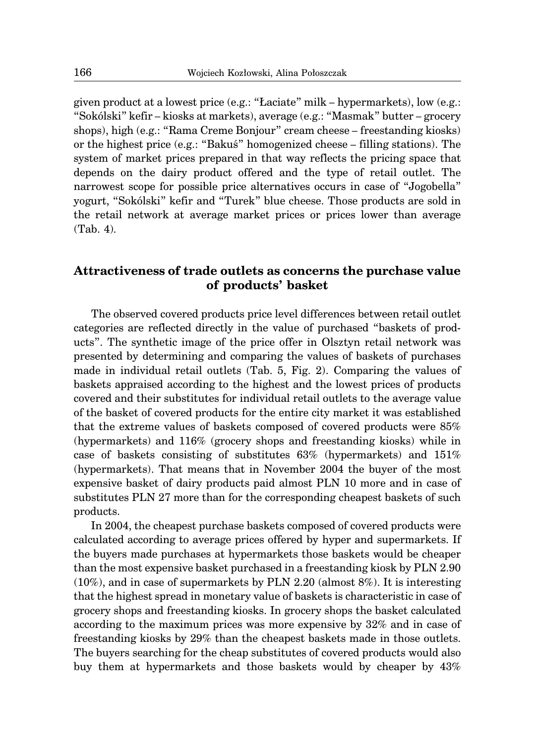given product at a lowest price (e.g.: "Łaciate" milk – hypermarkets), low (e.g.: "Sokólski" kefir – kiosks at markets), average (e.g.: "Masmak" butter – grocery shops), high (e.g.: "Rama Creme Bonjour" cream cheese – freestanding kiosks) or the highest price (e.g.: "Bakuś" homogenized cheese – filling stations). The system of market prices prepared in that way reflects the pricing space that depends on the dairy product offered and the type of retail outlet. The narrowest scope for possible price alternatives occurs in case of "Jogobella" yogurt, "Sokólski" kefir and "Turek" blue cheese. Those products are sold in the retail network at average market prices or prices lower than average (Tab. 4)*.*

# **Attractiveness of trade outlets as concerns the purchase value of products' basket**

The observed covered products price level differences between retail outlet categories are reflected directly in the value of purchased "baskets of products". The synthetic image of the price offer in Olsztyn retail network was presented by determining and comparing the values of baskets of purchases made in individual retail outlets (Tab. 5, Fig. 2). Comparing the values of baskets appraised according to the highest and the lowest prices of products covered and their substitutes for individual retail outlets to the average value of the basket of covered products for the entire city market it was established that the extreme values of baskets composed of covered products were 85% (hypermarkets) and 116% (grocery shops and freestanding kiosks) while in case of baskets consisting of substitutes 63% (hypermarkets) and 151% (hypermarkets). That means that in November 2004 the buyer of the most expensive basket of dairy products paid almost PLN 10 more and in case of substitutes PLN 27 more than for the corresponding cheapest baskets of such products.

In 2004, the cheapest purchase baskets composed of covered products were calculated according to average prices offered by hyper and supermarkets. If the buyers made purchases at hypermarkets those baskets would be cheaper than the most expensive basket purchased in a freestanding kiosk by PLN 2.90 (10%), and in case of supermarkets by PLN 2.20 (almost 8%). It is interesting that the highest spread in monetary value of baskets is characteristic in case of grocery shops and freestanding kiosks. In grocery shops the basket calculated according to the maximum prices was more expensive by 32% and in case of freestanding kiosks by 29% than the cheapest baskets made in those outlets. The buyers searching for the cheap substitutes of covered products would also buy them at hypermarkets and those baskets would by cheaper by 43%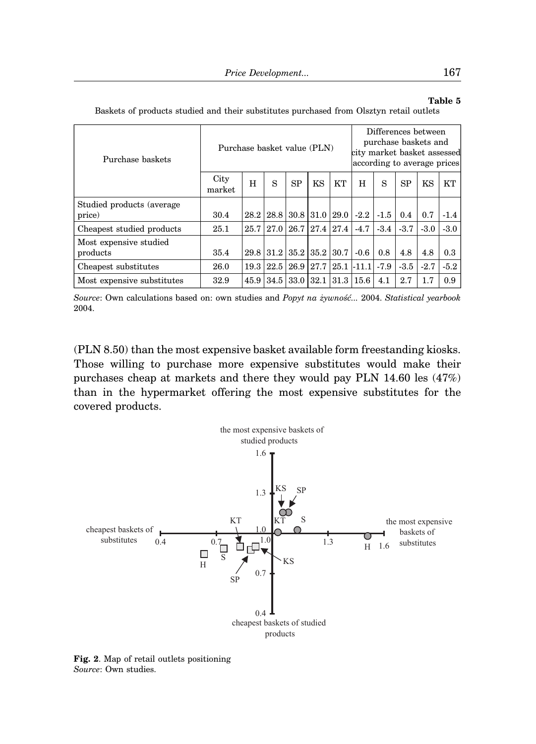## **Table 5**

| Purchase baskets                    | Purchase basket value (PLN) |      |                      |           |                           |                |        | Differences between<br>purchase baskets and<br>city market basket assessed<br>according to average prices |        |        |        |  |
|-------------------------------------|-----------------------------|------|----------------------|-----------|---------------------------|----------------|--------|-----------------------------------------------------------------------------------------------------------|--------|--------|--------|--|
|                                     | City<br>market              | H    | S                    | <b>SP</b> | KS                        | <b>KT</b>      | H      | S                                                                                                         | SP     | KS     | KT     |  |
| Studied products (average<br>price) | 30.4                        | 28.2 |                      |           | 28.8   30.8   31.0   29.0 |                | $-2.2$ | $-1.5$                                                                                                    | 0.4    | 0.7    | $-1.4$ |  |
| Cheapest studied products           | 25.1                        | 25.7 | 27.0                 |           | 26.7 27.4 27.4            |                | $-4.7$ | $-3.4$                                                                                                    | $-3.7$ | $-3.0$ | $-3.0$ |  |
| Most expensive studied<br>products  | 35.4                        | 29.8 | $31.2$ $35.2$ $35.2$ |           |                           | 30.7           | $-0.6$ | 0.8                                                                                                       | 4.8    | 4.8    | 0.3    |  |
| Cheapest substitutes                | 26.0                        | 19.3 | 22.5                 | 26.9 27.7 |                           | $25.1$ -11.1   |        | $-7.9$                                                                                                    | $-3.5$ | $-2.7$ | $-5.2$ |  |
| Most expensive substitutes          | 32.9                        | 45.9 |                      | 34.5 33.0 | 32.1                      | $31.3 \, 15.6$ |        | 4.1                                                                                                       | 2.7    | 1.7    | 0.9    |  |

Baskets of products studied and their substitutes purchased from Olsztyn retail outlets

*Source*: Own calculations based on: own studies and *Popyt na żywność...* 2004. *Statistical yearbook* 2004.

(PLN 8.50) than the most expensive basket available form freestanding kiosks. Those willing to purchase more expensive substitutes would make their purchases cheap at markets and there they would pay PLN 14.60 les (47%) than in the hypermarket offering the most expensive substitutes for the covered products.



**Fig. 2**. Map of retail outlets positioning *Source*: Own studies.